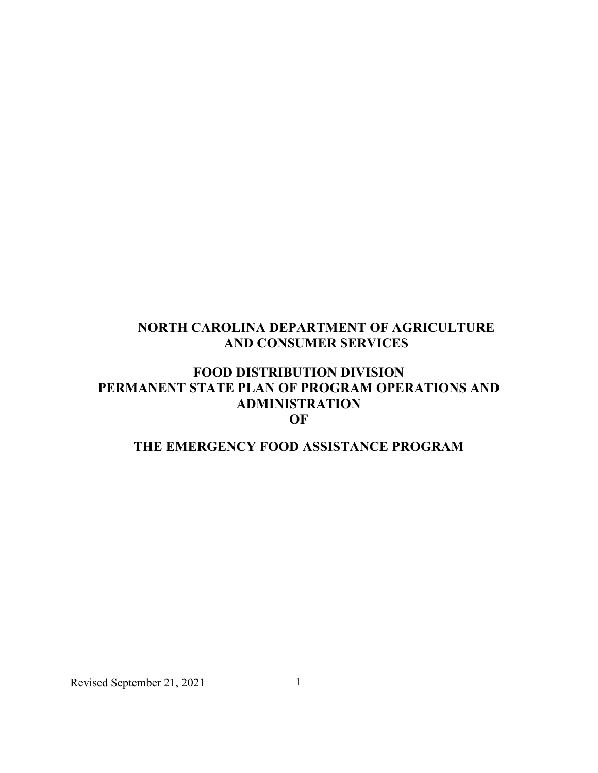# **NORTH CAROLINA DEPARTMENT OF AGRICULTURE AND CONSUMER SERVICES**

# **FOOD DISTRIBUTION DIVISION PERMANENT STATE PLAN OF PROGRAM OPERATIONS AND ADMINISTRATION OF**

# **THE EMERGENCY FOOD ASSISTANCE PROGRAM**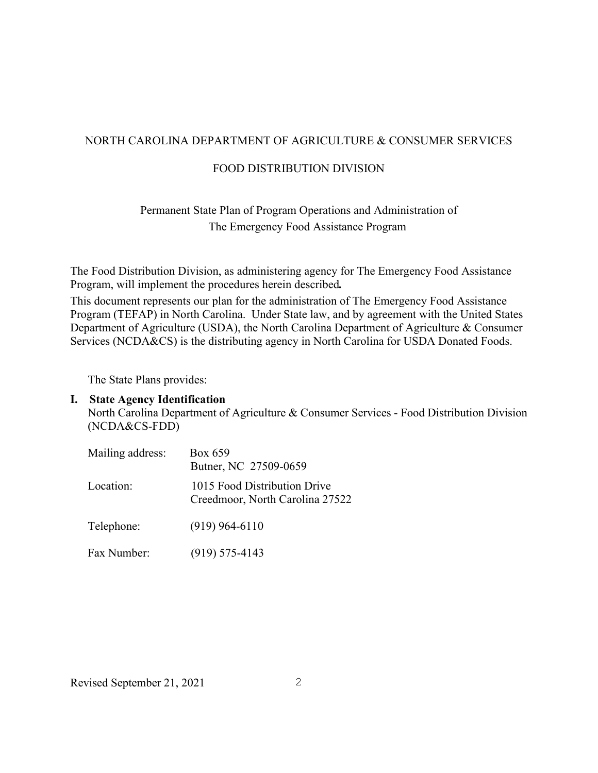## NORTH CAROLINA DEPARTMENT OF AGRICULTURE & CONSUMER SERVICES

#### FOOD DISTRIBUTION DIVISION

# Permanent State Plan of Program Operations and Administration of The Emergency Food Assistance Program

The Food Distribution Division, as administering agency for The Emergency Food Assistance Program, will implement the procedures herein described*.*

This document represents our plan for the administration of The Emergency Food Assistance Program (TEFAP) in North Carolina. Under State law, and by agreement with the United States Department of Agriculture (USDA), the North Carolina Department of Agriculture & Consumer Services (NCDA&CS) is the distributing agency in North Carolina for USDA Donated Foods.

The State Plans provides:

#### **I. State Agency Identification**

 North Carolina Department of Agriculture & Consumer Services - Food Distribution Division (NCDA&CS-FDD)

| Mailing address: | Box 659<br>Butner, NC 27509-0659                                |
|------------------|-----------------------------------------------------------------|
| Location:        | 1015 Food Distribution Drive<br>Creedmoor, North Carolina 27522 |
| Telephone:       | $(919)$ 964-6110                                                |

Fax Number: (919) 575-4143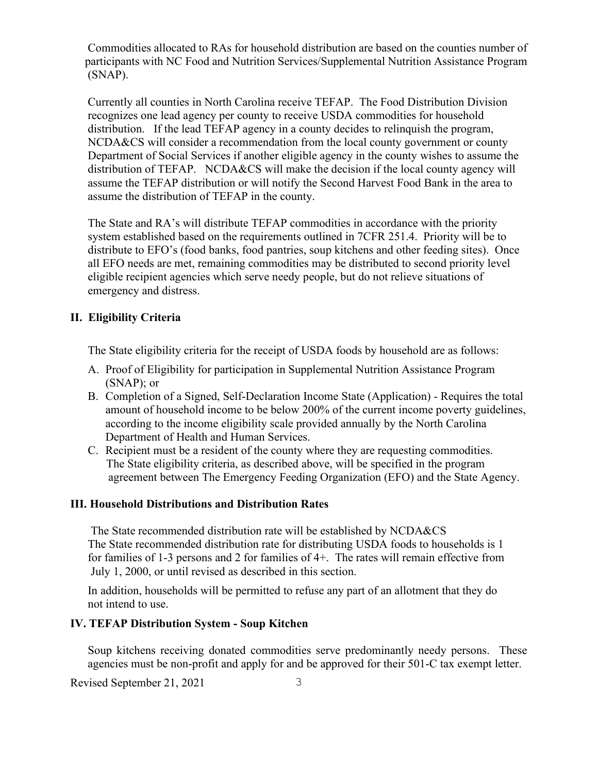Commodities allocated to RAs for household distribution are based on the counties number of participants with NC Food and Nutrition Services/Supplemental Nutrition Assistance Program (SNAP).

 Currently all counties in North Carolina receive TEFAP. The Food Distribution Division recognizes one lead agency per county to receive USDA commodities for household distribution. If the lead TEFAP agency in a county decides to relinquish the program, NCDA&CS will consider a recommendation from the local county government or county Department of Social Services if another eligible agency in the county wishes to assume the distribution of TEFAP. NCDA&CS will make the decision if the local county agency will assume the TEFAP distribution or will notify the Second Harvest Food Bank in the area to assume the distribution of TEFAP in the county.

The State and RA's will distribute TEFAP commodities in accordance with the priority system established based on the requirements outlined in 7CFR 251.4. Priority will be to distribute to EFO's (food banks, food pantries, soup kitchens and other feeding sites). Once all EFO needs are met, remaining commodities may be distributed to second priority level eligible recipient agencies which serve needy people, but do not relieve situations of emergency and distress.

## **II. Eligibility Criteria**

The State eligibility criteria for the receipt of USDA foods by household are as follows:

- A. Proof of Eligibility for participation in Supplemental Nutrition Assistance Program (SNAP); or
- B. Completion of a Signed, Self-Declaration Income State (Application) Requires the total amount of household income to be below 200% of the current income poverty guidelines, according to the income eligibility scale provided annually by the North Carolina Department of Health and Human Services.
- C. Recipient must be a resident of the county where they are requesting commodities. The State eligibility criteria, as described above, will be specified in the program agreement between The Emergency Feeding Organization (EFO) and the State Agency.

### **III. Household Distributions and Distribution Rates**

The State recommended distribution rate will be established by NCDA&CS The State recommended distribution rate for distributing USDA foods to households is 1 for families of 1-3 persons and 2 for families of 4+. The rates will remain effective from July 1, 2000, or until revised as described in this section.

In addition, households will be permitted to refuse any part of an allotment that they do not intend to use.

### **IV. TEFAP Distribution System - Soup Kitchen**

Soup kitchens receiving donated commodities serve predominantly needy persons. These agencies must be non-profit and apply for and be approved for their 501-C tax exempt letter.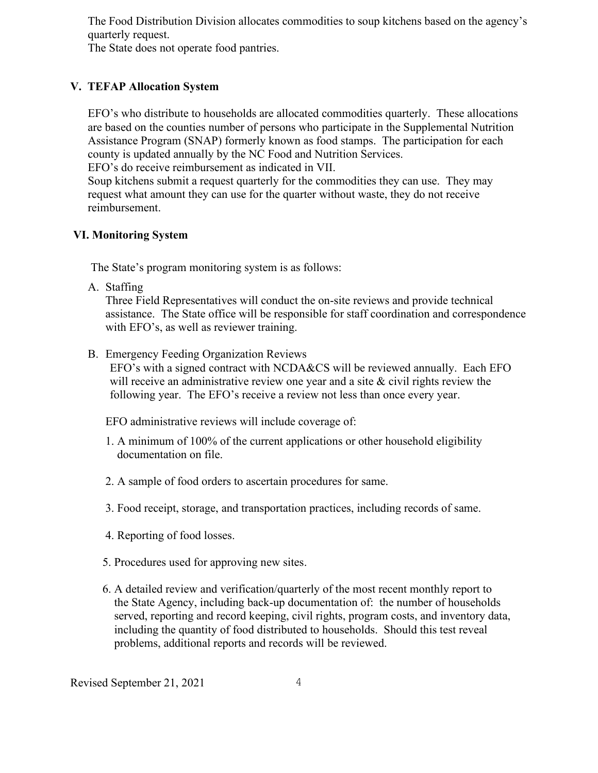The Food Distribution Division allocates commodities to soup kitchens based on the agency's quarterly request.

The State does not operate food pantries.

## **V. TEFAP Allocation System**

EFO's who distribute to households are allocated commodities quarterly. These allocations are based on the counties number of persons who participate in the Supplemental Nutrition Assistance Program (SNAP) formerly known as food stamps. The participation for each county is updated annually by the NC Food and Nutrition Services.

EFO's do receive reimbursement as indicated in VII.

Soup kitchens submit a request quarterly for the commodities they can use. They may request what amount they can use for the quarter without waste, they do not receive reimbursement.

### **VI. Monitoring System**

The State's program monitoring system is as follows:

A. Staffing

Three Field Representatives will conduct the on-site reviews and provide technical assistance. The State office will be responsible for staff coordination and correspondence with EFO's, as well as reviewer training.

B. Emergency Feeding Organization Reviews

 EFO's with a signed contract with NCDA&CS will be reviewed annually. Each EFO will receive an administrative review one year and a site  $\&$  civil rights review the following year. The EFO's receive a review not less than once every year.

EFO administrative reviews will include coverage of:

- 1. A minimum of 100% of the current applications or other household eligibility documentation on file.
- 2. A sample of food orders to ascertain procedures for same.
- 3. Food receipt, storage, and transportation practices, including records of same.
- 4. Reporting of food losses.
- 5. Procedures used for approving new sites.
- 6. A detailed review and verification/quarterly of the most recent monthly report to the State Agency, including back-up documentation of: the number of households served, reporting and record keeping, civil rights, program costs, and inventory data, including the quantity of food distributed to households. Should this test reveal problems, additional reports and records will be reviewed.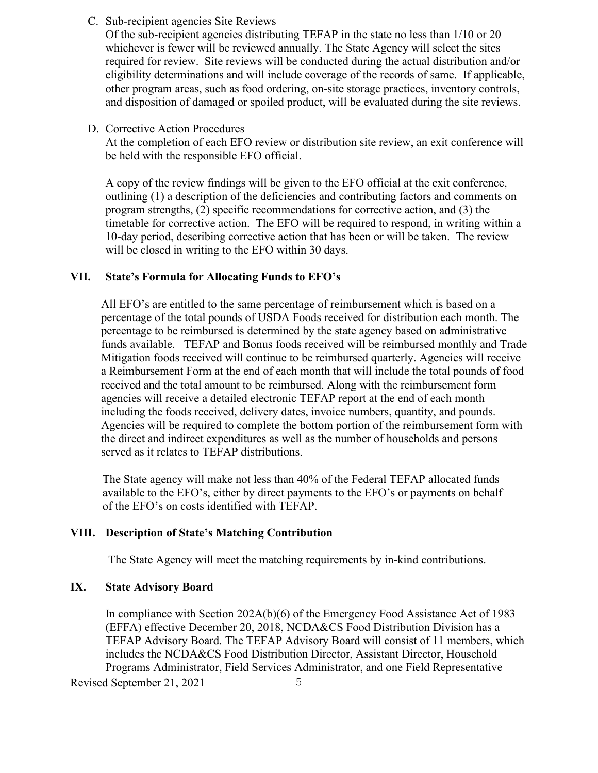C. Sub-recipient agencies Site Reviews

Of the sub-recipient agencies distributing TEFAP in the state no less than 1/10 or 20 whichever is fewer will be reviewed annually. The State Agency will select the sites required for review. Site reviews will be conducted during the actual distribution and/or eligibility determinations and will include coverage of the records of same. If applicable, other program areas, such as food ordering, on-site storage practices, inventory controls, and disposition of damaged or spoiled product, will be evaluated during the site reviews.

D. Corrective Action Procedures

At the completion of each EFO review or distribution site review, an exit conference will be held with the responsible EFO official.

A copy of the review findings will be given to the EFO official at the exit conference, outlining (1) a description of the deficiencies and contributing factors and comments on program strengths, (2) specific recommendations for corrective action, and (3) the timetable for corrective action. The EFO will be required to respond, in writing within a 10-day period, describing corrective action that has been or will be taken. The review will be closed in writing to the EFO within 30 days.

#### **VII. State's Formula for Allocating Funds to EFO's**

All EFO's are entitled to the same percentage of reimbursement which is based on a percentage of the total pounds of USDA Foods received for distribution each month. The percentage to be reimbursed is determined by the state agency based on administrative funds available. TEFAP and Bonus foods received will be reimbursed monthly and Trade Mitigation foods received will continue to be reimbursed quarterly. Agencies will receive a Reimbursement Form at the end of each month that will include the total pounds of food received and the total amount to be reimbursed. Along with the reimbursement form agencies will receive a detailed electronic TEFAP report at the end of each month including the foods received, delivery dates, invoice numbers, quantity, and pounds. Agencies will be required to complete the bottom portion of the reimbursement form with the direct and indirect expenditures as well as the number of households and persons served as it relates to TEFAP distributions.

 The State agency will make not less than 40% of the Federal TEFAP allocated funds available to the EFO's, either by direct payments to the EFO's or payments on behalf of the EFO's on costs identified with TEFAP.

#### **VIII. Description of State's Matching Contribution**

The State Agency will meet the matching requirements by in-kind contributions.

#### **IX. State Advisory Board**

Revised September 21, 2021 5 In compliance with Section 202A(b)(6) of the Emergency Food Assistance Act of 1983 (EFFA) effective December 20, 2018, NCDA&CS Food Distribution Division has a TEFAP Advisory Board. The TEFAP Advisory Board will consist of 11 members, which includes the NCDA&CS Food Distribution Director, Assistant Director, Household Programs Administrator, Field Services Administrator, and one Field Representative